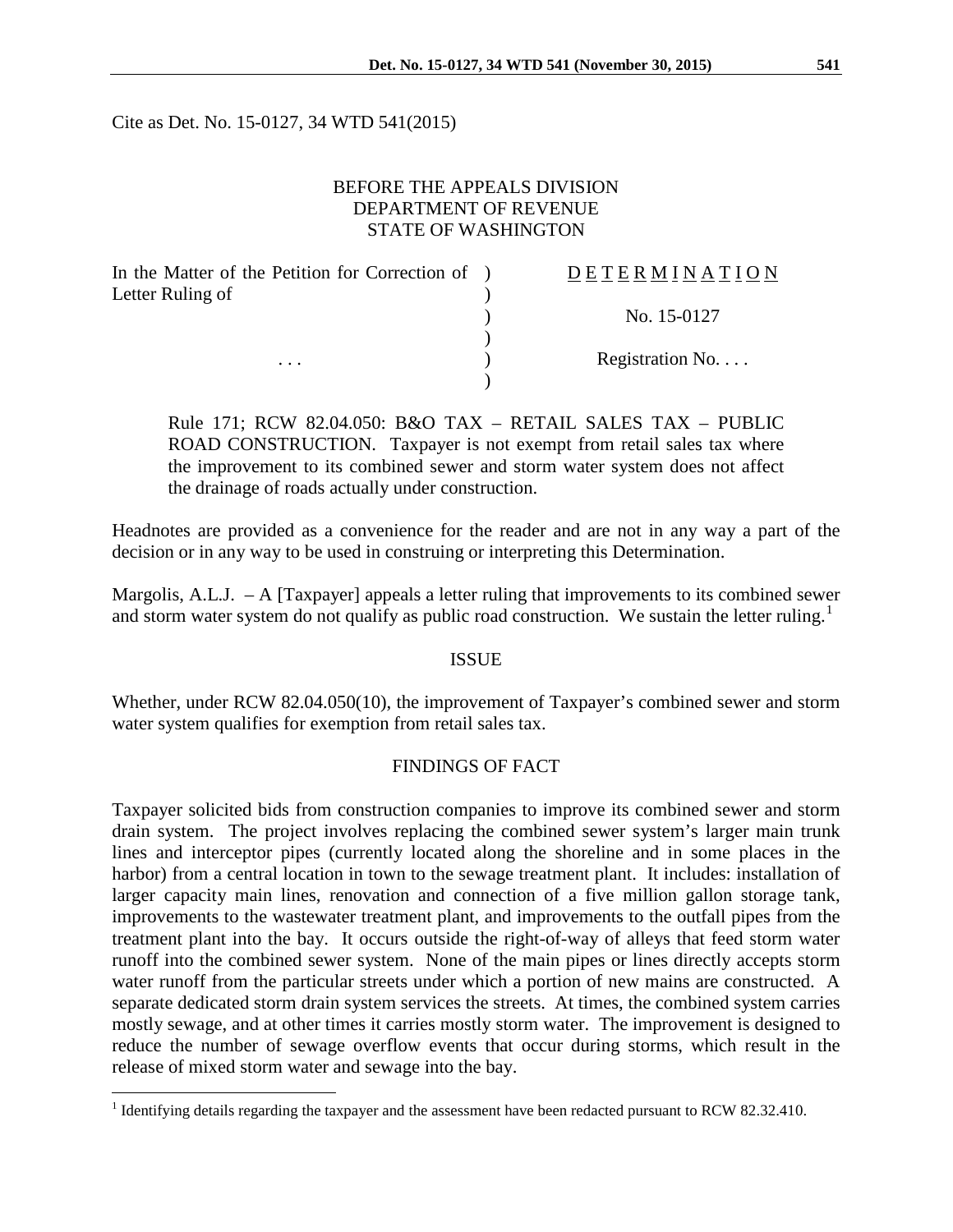Cite as Det. No. 15-0127, 34 WTD 541(2015)

# BEFORE THE APPEALS DIVISION DEPARTMENT OF REVENUE STATE OF WASHINGTON

| In the Matter of the Petition for Correction of ) | DETERMINATION   |
|---------------------------------------------------|-----------------|
| Letter Ruling of                                  |                 |
|                                                   | No. 15-0127     |
|                                                   |                 |
| $\cdots$                                          | Registration No |
|                                                   |                 |

Rule 171; RCW 82.04.050: B&O TAX – RETAIL SALES TAX – PUBLIC ROAD CONSTRUCTION. Taxpayer is not exempt from retail sales tax where the improvement to its combined sewer and storm water system does not affect the drainage of roads actually under construction.

Headnotes are provided as a convenience for the reader and are not in any way a part of the decision or in any way to be used in construing or interpreting this Determination.

Margolis, A.L.J.  $- A$  [Taxpayer] appeals a letter ruling that improvements to its combined sewer and storm water system do not qualify as public road construction. We sustain the letter ruling.<sup>[1](#page-0-0)</sup>

# ISSUE

Whether, under RCW 82.04.050(10), the improvement of Taxpayer's combined sewer and storm water system qualifies for exemption from retail sales tax.

# FINDINGS OF FACT

Taxpayer solicited bids from construction companies to improve its combined sewer and storm drain system. The project involves replacing the combined sewer system's larger main trunk lines and interceptor pipes (currently located along the shoreline and in some places in the harbor) from a central location in town to the sewage treatment plant. It includes: installation of larger capacity main lines, renovation and connection of a five million gallon storage tank, improvements to the wastewater treatment plant, and improvements to the outfall pipes from the treatment plant into the bay. It occurs outside the right-of-way of alleys that feed storm water runoff into the combined sewer system. None of the main pipes or lines directly accepts storm water runoff from the particular streets under which a portion of new mains are constructed. A separate dedicated storm drain system services the streets. At times, the combined system carries mostly sewage, and at other times it carries mostly storm water. The improvement is designed to reduce the number of sewage overflow events that occur during storms, which result in the release of mixed storm water and sewage into the bay.

<span id="page-0-0"></span><sup>&</sup>lt;sup>1</sup> Identifying details regarding the taxpayer and the assessment have been redacted pursuant to RCW 82.32.410.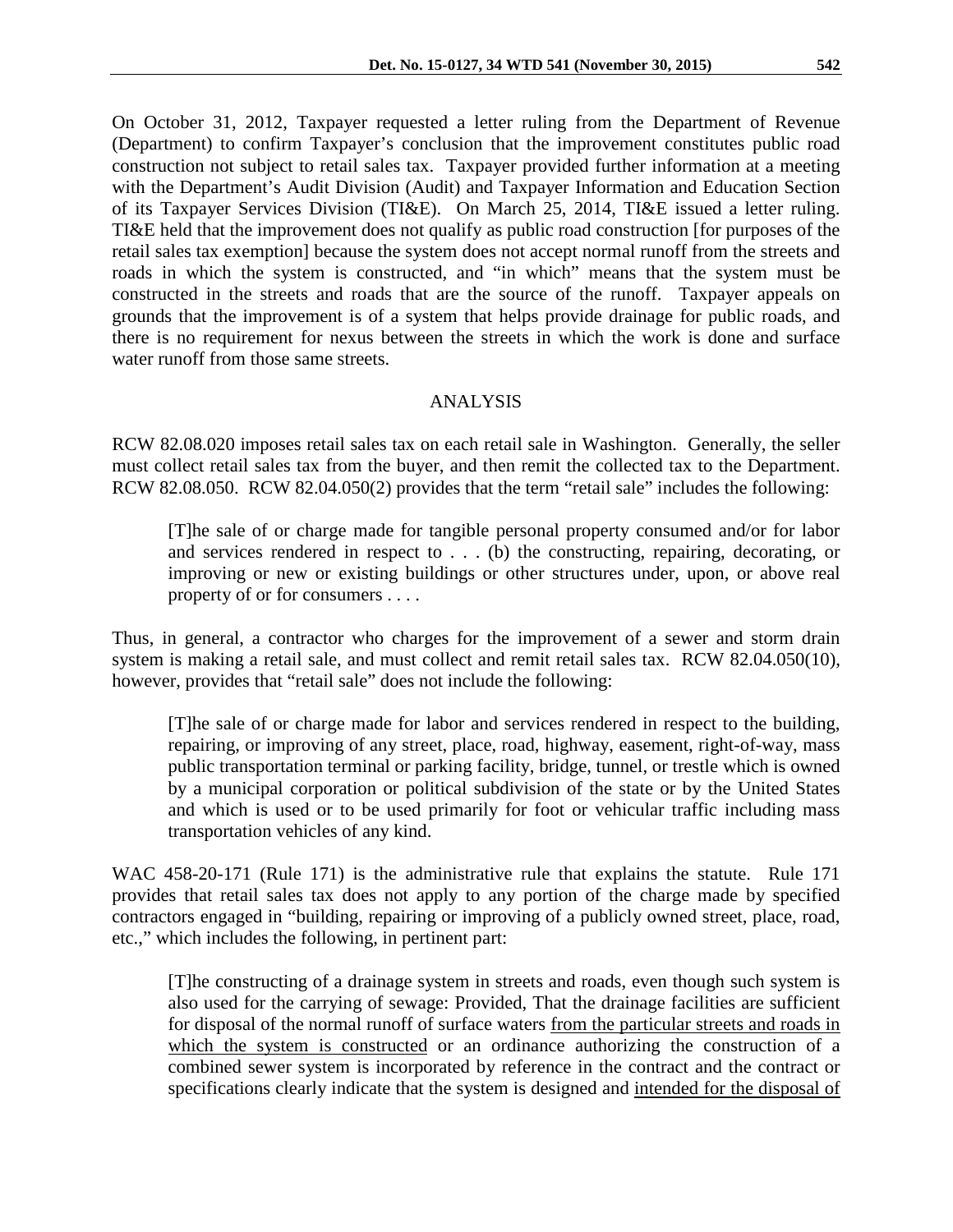On October 31, 2012, Taxpayer requested a letter ruling from the Department of Revenue (Department) to confirm Taxpayer's conclusion that the improvement constitutes public road construction not subject to retail sales tax. Taxpayer provided further information at a meeting with the Department's Audit Division (Audit) and Taxpayer Information and Education Section of its Taxpayer Services Division (TI&E). On March 25, 2014, TI&E issued a letter ruling. TI&E held that the improvement does not qualify as public road construction [for purposes of the retail sales tax exemption] because the system does not accept normal runoff from the streets and roads in which the system is constructed, and "in which" means that the system must be constructed in the streets and roads that are the source of the runoff. Taxpayer appeals on grounds that the improvement is of a system that helps provide drainage for public roads, and there is no requirement for nexus between the streets in which the work is done and surface water runoff from those same streets.

# ANALYSIS

RCW 82.08.020 imposes retail sales tax on each retail sale in Washington. Generally, the seller must collect retail sales tax from the buyer, and then remit the collected tax to the Department. RCW 82.08.050. RCW 82.04.050(2) provides that the term "retail sale" includes the following:

[T]he sale of or charge made for tangible personal property consumed and/or for labor and services rendered in respect to . . . (b) the constructing, repairing, decorating, or improving or new or existing buildings or other structures under, upon, or above real property of or for consumers . . . .

Thus, in general, a contractor who charges for the improvement of a sewer and storm drain system is making a retail sale, and must collect and remit retail sales tax. RCW 82.04.050(10), however, provides that "retail sale" does not include the following:

[T]he sale of or charge made for labor and services rendered in respect to the building, repairing, or improving of any street, place, road, highway, easement, right-of-way, mass public transportation terminal or parking facility, bridge, tunnel, or trestle which is owned by a municipal corporation or political subdivision of the state or by the United States and which is used or to be used primarily for foot or vehicular traffic including mass transportation vehicles of any kind.

WAC 458-20-171 (Rule 171) is the administrative rule that explains the statute. Rule 171 provides that retail sales tax does not apply to any portion of the charge made by specified contractors engaged in "building, repairing or improving of a publicly owned street, place, road, etc.," which includes the following, in pertinent part:

[T]he constructing of a drainage system in streets and roads, even though such system is also used for the carrying of sewage: Provided, That the drainage facilities are sufficient for disposal of the normal runoff of surface waters from the particular streets and roads in which the system is constructed or an ordinance authorizing the construction of a combined sewer system is incorporated by reference in the contract and the contract or specifications clearly indicate that the system is designed and intended for the disposal of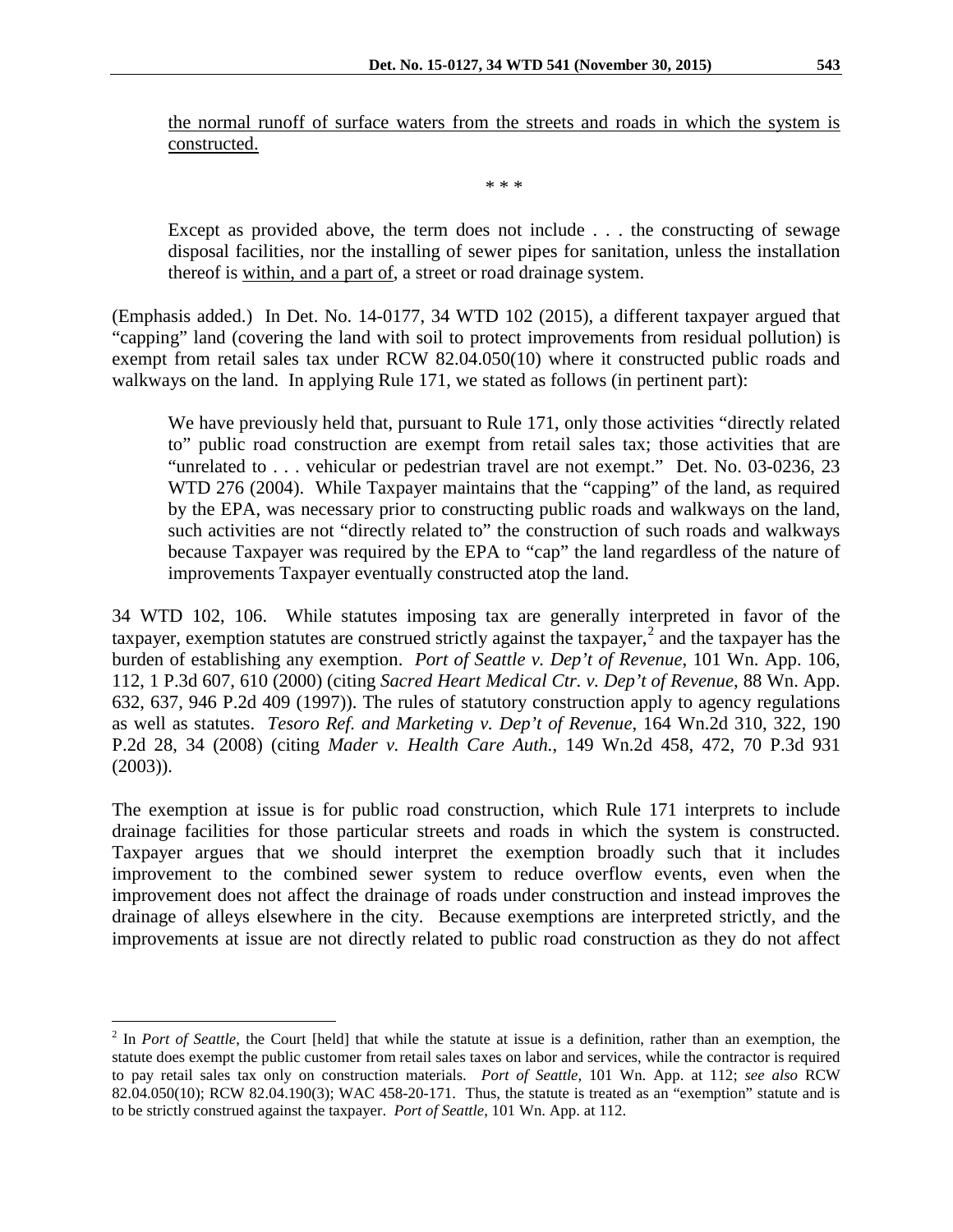the normal runoff of surface waters from the streets and roads in which the system is constructed.

\* \* \*

Except as provided above, the term does not include . . . the constructing of sewage disposal facilities, nor the installing of sewer pipes for sanitation, unless the installation thereof is within, and a part of, a street or road drainage system.

(Emphasis added.) In Det. No. 14-0177, 34 WTD 102 (2015), a different taxpayer argued that "capping" land (covering the land with soil to protect improvements from residual pollution) is exempt from retail sales tax under RCW 82.04.050(10) where it constructed public roads and walkways on the land. In applying Rule 171, we stated as follows (in pertinent part):

We have previously held that, pursuant to Rule 171, only those activities "directly related to" public road construction are exempt from retail sales tax; those activities that are "unrelated to . . . vehicular or pedestrian travel are not exempt." Det. No. 03-0236, 23 WTD 276 (2004). While Taxpayer maintains that the "capping" of the land, as required by the EPA, was necessary prior to constructing public roads and walkways on the land, such activities are not "directly related to" the construction of such roads and walkways because Taxpayer was required by the EPA to "cap" the land regardless of the nature of improvements Taxpayer eventually constructed atop the land.

34 WTD 102, 106. While statutes imposing tax are generally interpreted in favor of the taxpayer, exemption statutes are construed strictly against the taxpayer,<sup>[2](#page-2-0)</sup> and the taxpayer has the burden of establishing any exemption. *Port of Seattle v. Dep't of Revenue*, 101 Wn. App. 106, 112, 1 P.3d 607, 610 (2000) (citing *Sacred Heart Medical Ctr. v. Dep't of Revenue*, 88 Wn. App. 632, 637, 946 P.2d 409 (1997)). The rules of statutory construction apply to agency regulations as well as statutes. *Tesoro Ref. and Marketing v. Dep't of Revenue*, 164 Wn.2d 310, 322, 190 P.2d 28, 34 (2008) (citing *Mader v. Health Care Auth.*, 149 Wn.2d 458, 472, 70 P.3d 931 (2003)).

The exemption at issue is for public road construction, which Rule 171 interprets to include drainage facilities for those particular streets and roads in which the system is constructed. Taxpayer argues that we should interpret the exemption broadly such that it includes improvement to the combined sewer system to reduce overflow events, even when the improvement does not affect the drainage of roads under construction and instead improves the drainage of alleys elsewhere in the city. Because exemptions are interpreted strictly, and the improvements at issue are not directly related to public road construction as they do not affect

<span id="page-2-0"></span><sup>&</sup>lt;sup>2</sup> In *Port of Seattle*, the Court [held] that while the statute at issue is a definition, rather than an exemption, the statute does exempt the public customer from retail sales taxes on labor and services, while the contractor is required to pay retail sales tax only on construction materials. *Port of Seattle*, 101 Wn. App. at 112; *see also* RCW 82.04.050(10); RCW 82.04.190(3); WAC 458-20-171. Thus, the statute is treated as an "exemption" statute and is to be strictly construed against the taxpayer. *Port of Seattle*, 101 Wn. App. at 112.